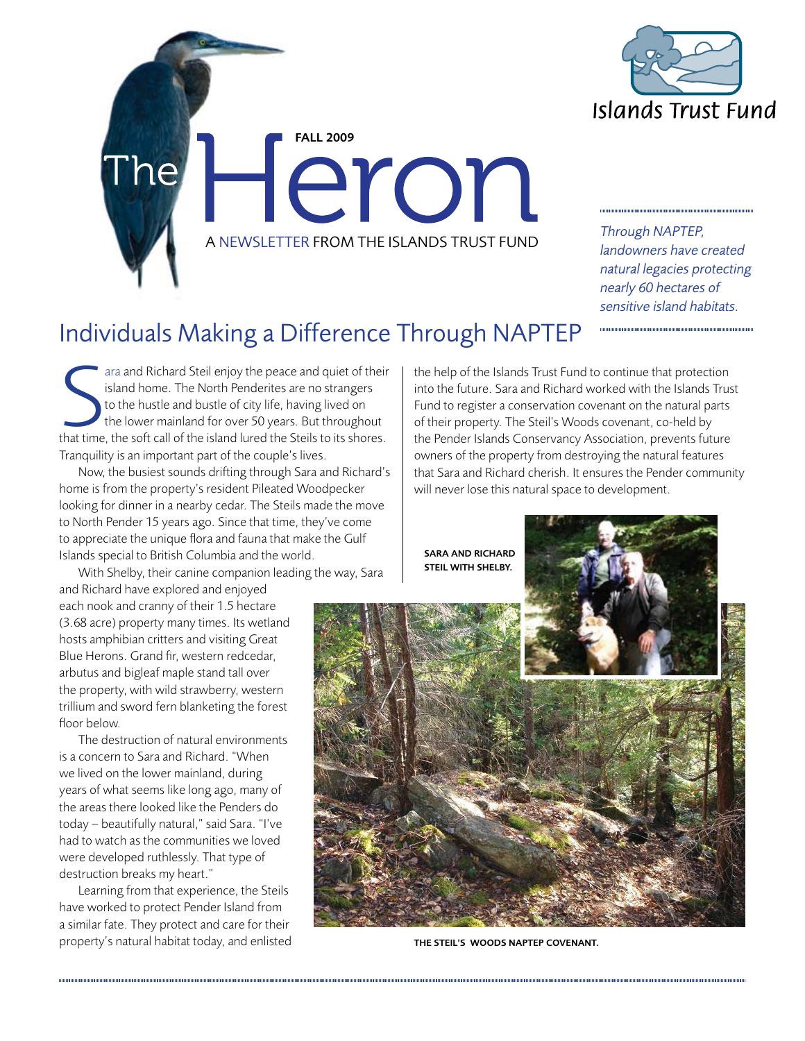

FALL 2009 Heron A NEWSLETTER FROM THE ISLANDS TRUST FUND

*Through NAPTEP, landowners have created natural legacies protecting nearly 60 hectares of sensitive island habitats.*

## Individuals Making a Difference Through NAPTEP

The Steil enjoy the peace and quiet of their<br>island home. The North Penderites are no strangers<br>to the hustle and bustle of city life, having lived on<br>the lower mainland for over 50 years. But throughout<br>that time, the sof ara and Richard Steil enjoy the peace and quiet of their island home. The North Penderites are no strangers to the hustle and bustle of city life, having lived on the lower mainland for over 50 years. But throughout Tranquility is an important part of the couple's lives.

Now, the busiest sounds drifting through Sara and Richard's home is from the property's resident Pileated Woodpecker looking for dinner in a nearby cedar. The Steils made the move to North Pender 15 years ago. Since that time, they've come to appreciate the unique flora and fauna that make the Gulf Islands special to British Columbia and the world.

With Shelby, their canine companion leading the way, Sara

and Richard have explored and enjoyed each nook and cranny of their 1.5 hectare (3.68 acre) property many times. Its wetland hosts amphibian critters and visiting Great Blue Herons. Grand fir, western redcedar, arbutus and bigleaf maple stand tall over the property, with wild strawberry, western trillium and sword fern blanketing the forest floor below.

The destruction of natural environments is a concern to Sara and Richard. "When we lived on the lower mainland, during years of what seems like long ago, many of the areas there looked like the Penders do today – beautifully natural," said Sara. "I've had to watch as the communities we loved were developed ruthlessly. That type of destruction breaks my heart."

Learning from that experience, the Steils have worked to protect Pender Island from a similar fate. They protect and care for their property's natural habitat today, and enlisted the help of the Islands Trust Fund to continue that protection into the future. Sara and Richard worked with the Islands Trust Fund to register a conservation covenant on the natural parts of their property. The Steil's Woods covenant, co-held by the Pender Islands Conservancy Association, prevents future owners of the property from destroying the natural features that Sara and Richard cherish. It ensures the Pender community will never lose this natural space to development.

Sara and Richard



The Steil's Woods NAPTEP Covenant.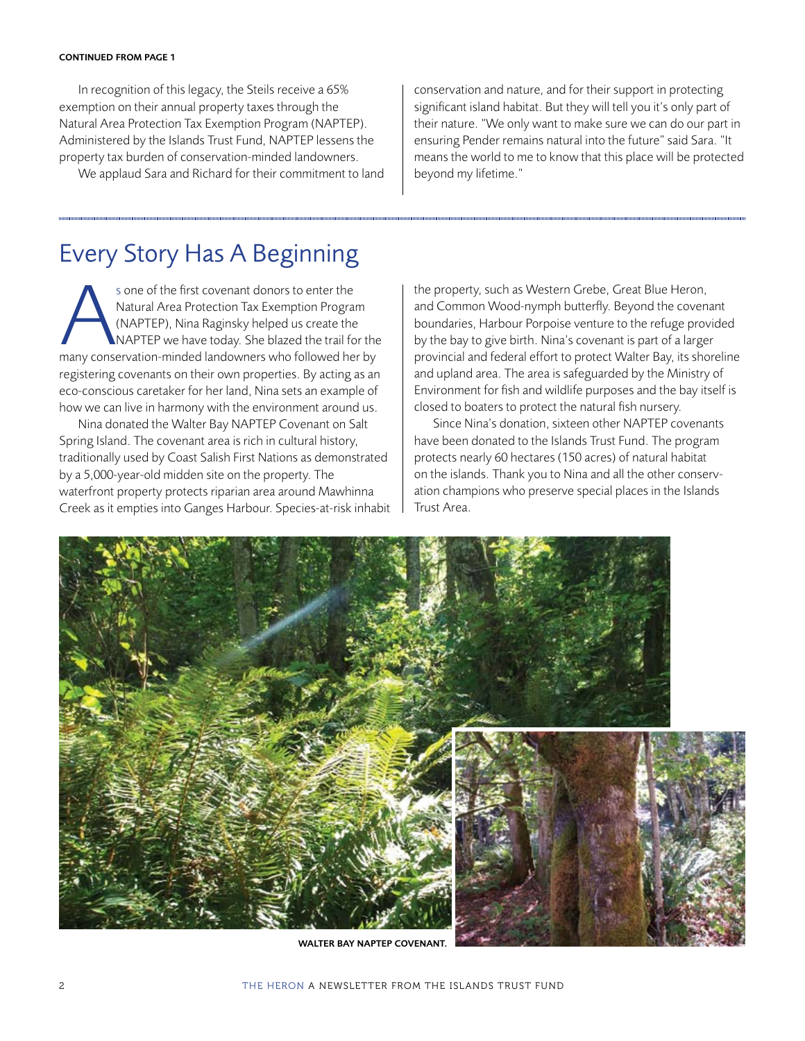### CONTINUED FROM PAGE 1

In recognition of this legacy, the Steils receive a 65% exemption on their annual property taxes through the Natural Area Protection Tax Exemption Program (NAPTEP). Administered by the Islands Trust Fund, NAPTEP lessens the property tax burden of conservation-minded landowners.

We applaud Sara and Richard for their commitment to land

conservation and nature, and for their support in protecting significant island habitat. But they will tell you it's only part of their nature. "We only want to make sure we can do our part in ensuring Pender remains natural into the future" said Sara. "It means the world to me to know that this place will be protected beyond my lifetime."

## Every Story Has A Beginning

s one of the first covenant donors to enter the<br>
Natural Area Protection Tax Exemption Program<br>
(NAPTEP), Nina Raginsky helped us create the<br>
MAPTEP we have today. She blazed the trail for the<br>
many conservation-minded lan Natural Area Protection Tax Exemption Program (NAPTEP), Nina Raginsky helped us create the NAPTEP we have today. She blazed the trail for the registering covenants on their own properties. By acting as an eco-conscious caretaker for her land, Nina sets an example of how we can live in harmony with the environment around us.

Nina donated the Walter Bay NAPTEP Covenant on Salt Spring Island. The covenant area is rich in cultural history, traditionally used by Coast Salish First Nations as demonstrated by a 5,000-year-old midden site on the property. The waterfront property protects riparian area around Mawhinna Creek as it empties into Ganges Harbour. Species-at-risk inhabit the property, such as Western Grebe, Great Blue Heron, and Common Wood-nymph butterfly. Beyond the covenant boundaries, Harbour Porpoise venture to the refuge provided by the bay to give birth. Nina's covenant is part of a larger provincial and federal effort to protect Walter Bay, its shoreline and upland area. The area is safeguarded by the Ministry of Environment for fish and wildlife purposes and the bay itself is closed to boaters to protect the natural fish nursery.

Since Nina's donation, sixteen other NAPTEP covenants have been donated to the Islands Trust Fund. The program protects nearly 60 hectares (150 acres) of natural habitat on the islands. Thank you to Nina and all the other conservation champions who preserve special places in the Islands Trust Area.



WALTER BAY NAPTEP COVENANT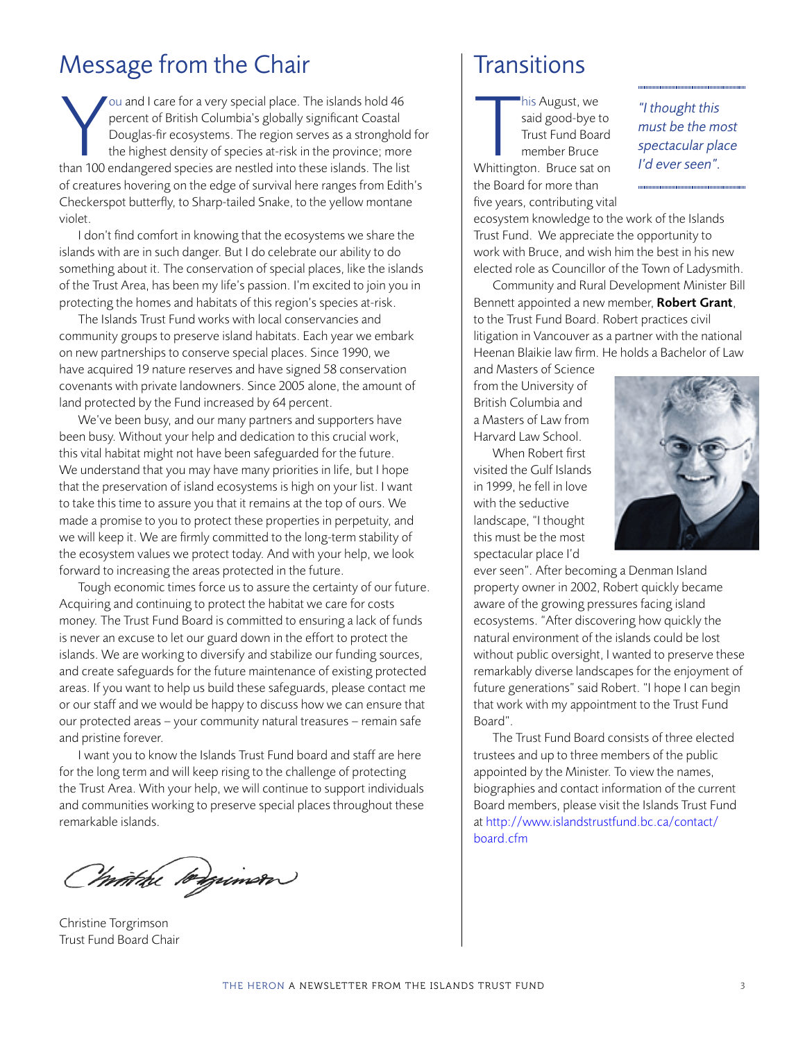## Message from the Chair

You and I care for a very special place. The islands hold 46<br>percent of British Columbia's globally significant Coastal<br>Douglas-fir ecosystems. The region serves as a stronghold<br>the highest density of species at-risk in th ou and I care for a very special place. The islands hold 46 percent of British Columbia's globally significant Coastal Douglas-fir ecosystems. The region serves as a stronghold for the highest density of species at-risk in the province; more of creatures hovering on the edge of survival here ranges from Edith's Checkerspot butterfly, to Sharp-tailed Snake, to the yellow montane violet.

I don't find comfort in knowing that the ecosystems we share the islands with are in such danger. But I do celebrate our ability to do something about it. The conservation of special places, like the islands of the Trust Area, has been my life's passion. I'm excited to join you in protecting the homes and habitats of this region's species at-risk.

The Islands Trust Fund works with local conservancies and community groups to preserve island habitats. Each year we embark on new partnerships to conserve special places. Since 1990, we have acquired 19 nature reserves and have signed 58 conservation covenants with private landowners. Since 2005 alone, the amount of land protected by the Fund increased by 64 percent.

We've been busy, and our many partners and supporters have been busy. Without your help and dedication to this crucial work, this vital habitat might not have been safeguarded for the future. We understand that you may have many priorities in life, but I hope that the preservation of island ecosystems is high on your list. I want to take this time to assure you that it remains at the top of ours. We made a promise to you to protect these properties in perpetuity, and we will keep it. We are firmly committed to the long-term stability of the ecosystem values we protect today. And with your help, we look forward to increasing the areas protected in the future.

Tough economic times force us to assure the certainty of our future. Acquiring and continuing to protect the habitat we care for costs money. The Trust Fund Board is committed to ensuring a lack of funds is never an excuse to let our guard down in the effort to protect the islands. We are working to diversify and stabilize our funding sources, and create safeguards for the future maintenance of existing protected areas. If you want to help us build these safeguards, please contact me or our staff and we would be happy to discuss how we can ensure that our protected areas – your community natural treasures – remain safe and pristine forever.

I want you to know the Islands Trust Fund board and staff are here for the long term and will keep rising to the challenge of protecting the Trust Area. With your help, we will continue to support individuals and communities working to preserve special places throughout these remarkable islands.

Christhe longuimon

Christine Torgrimson Trust Fund Board Chair

## **Transitions**

his August, we<br>
said good-bye to<br>
Trust Fund Board<br>
member Bruce<br>
Whittington. Bruce sat on his August, we said good-bye to Trust Fund Board member Bruce the Board for more than five years, contributing vital

*"I thought this must be the most spectacular place I'd ever seen".*

ecosystem knowledge to the work of the Islands Trust Fund. We appreciate the opportunity to work with Bruce, and wish him the best in his new elected role as Councillor of the Town of Ladysmith.

Community and Rural Development Minister Bill Bennett appointed a new member, Robert Grant, to the Trust Fund Board. Robert practices civil litigation in Vancouver as a partner with the national Heenan Blaikie law firm. He holds a Bachelor of Law

and Masters of Science from the University of British Columbia and a Masters of Law from Harvard Law School.

When Robert first visited the Gulf Islands in 1999, he fell in love with the seductive landscape, "I thought this must be the most spectacular place I'd



ever seen". After becoming a Denman Island property owner in 2002, Robert quickly became aware of the growing pressures facing island ecosystems. "After discovering how quickly the natural environment of the islands could be lost without public oversight, I wanted to preserve these remarkably diverse landscapes for the enjoyment of future generations" said Robert. "I hope I can begin that work with my appointment to the Trust Fund Board".

The Trust Fund Board consists of three elected trustees and up to three members of the public appointed by the Minister. To view the names, biographies and contact information of the current Board members, please visit the Islands Trust Fund [at h](http://www.islandstrustfund.bc.ca/about-us/our-staff-and-board.aspx)[ttp://www.islandstrustfund.bc.ca/contact/](http://www.islandstrustfund.bc.ca/contact/board.cfm) [board.cfm](http://www.islandstrustfund.bc.ca/contact/board.cfm)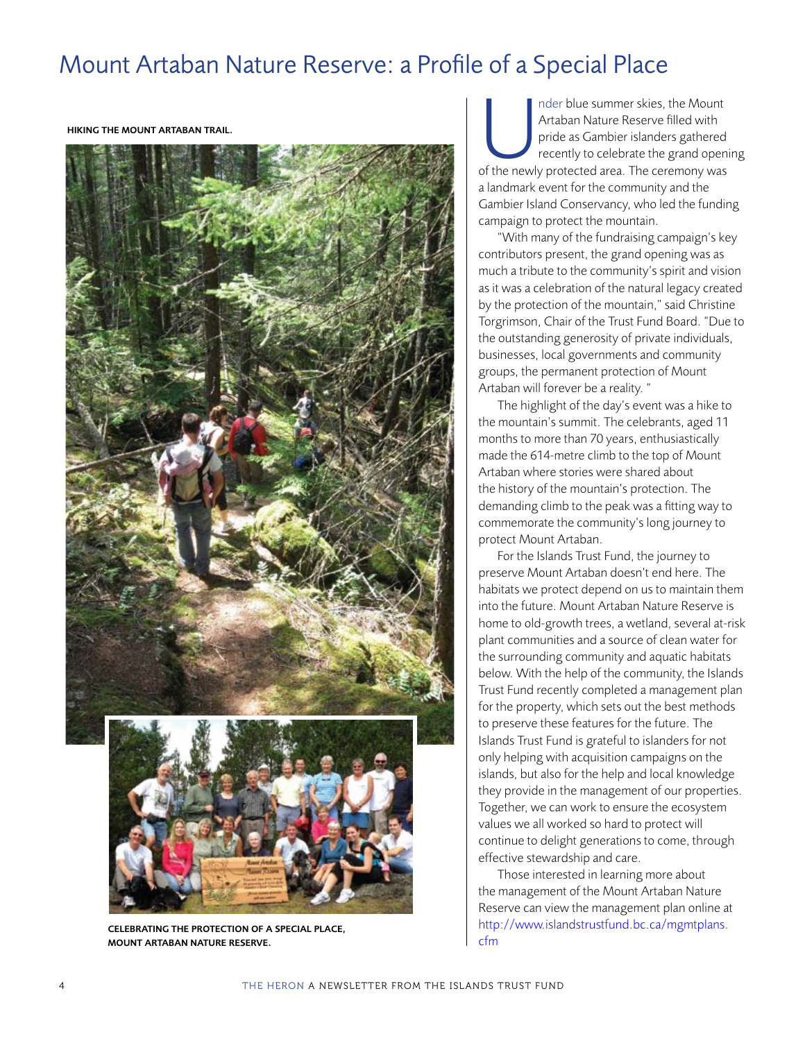## Mount Artaban Nature Reserve: a Profile of a Special Place

Hiking the Mount Artaban trail.



Celebrating the protection of a special place, Mount Artaban Nature Reserve.

Inder blue summer skies, the Mount<br>Artaban Nature Reserve filled with<br>pride as Gambier islanders gathered<br>recently to celebrate the grand openi<br>of the newly protected area. The ceremony was Artaban Nature Reserve filled with pride as Gambier islanders gathered recently to celebrate the grand opening a landmark event for the community and the Gambier Island Conservancy, who led the funding campaign to protect the mountain.

"With many of the fundraising campaign's key contributors present, the grand opening was as much a tribute to the community's spirit and vision as it was a celebration of the natural legacy created by the protection of the mountain," said Christine Torgrimson, Chair of the Trust Fund Board. "Due to the outstanding generosity of private individuals, businesses, local governments and community groups, the permanent protection of Mount Artaban will forever be a reality. "

The highlight of the day's event was a hike to the mountain's summit. The celebrants, aged 11 months to more than 70 years, enthusiastically made the 614-metre climb to the top of Mount Artaban where stories were shared about the history of the mountain's protection. The demanding climb to the peak was a fitting way to commemorate the community's long journey to protect Mount Artaban.

For the Islands Trust Fund, the journey to preserve Mount Artaban doesn't end here. The habitats we protect depend on us to maintain them into the future. Mount Artaban Nature Reserve is home to old-growth trees, a wetland, several at-risk plant communities and a source of clean water for the surrounding community and aquatic habitats below. With the help of the community, the Islands Trust Fund recently completed a management plan for the property, which sets out the best methods to preserve these features for the future. The Islands Trust Fund is grateful to islanders for not only helping with acquisition campaigns on the islands, but also for the help and local knowledge they provide in the management of our properties. Together, we can work to ensure the ecosystem values we all worked so hard to protect will continue to delight generations to come, through effective stewardship and care.

Those interested in learning more about the management of the Mount Artaban Nature Reserve can view the management plan online at [http://www.islandstrustfund.bc.ca/mgmtplans](http://www.islandstrustfund.bc.ca/mgmtplans.cfm)[.](http://www.islandstrustfund.bc.ca/about-us/our-publications.aspx#mp) [cfm](http://www.islandstrustfund.bc.ca/mgmtplans.cfm)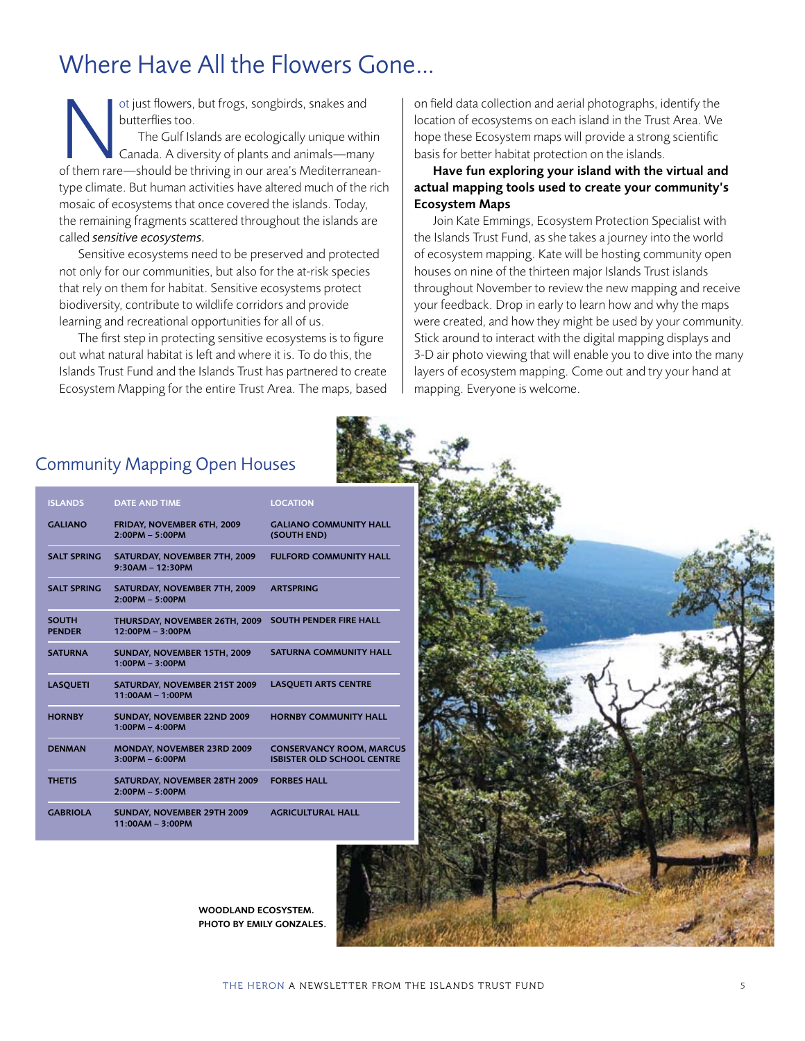# Where Have All the Flowers Gone…

of just flowers, but frogs, songbirds, snakes and<br>
butterflies too.<br>
The Gulf Islands are ecologically unique within<br>
Canada. A diversity of plants and animals—many<br>
of them rare—should be thriving in our area's Mediterran butterflies too. The Gulf Islands are ecologically unique within Canada. A diversity of plants and animals—many type climate. But human activities have altered much of the rich mosaic of ecosystems that once covered the islands. Today, the remaining fragments scattered throughout the islands are called *sensitive ecosystems.*

Sensitive ecosystems need to be preserved and protected not only for our communities, but also for the at-risk species that rely on them for habitat. Sensitive ecosystems protect biodiversity, contribute to wildlife corridors and provide learning and recreational opportunities for all of us.

The first step in protecting sensitive ecosystems is to figure out what natural habitat is left and where it is. To do this, the Islands Trust Fund and the Islands Trust has partnered to create Ecosystem Mapping for the entire Trust Area. The maps, based on field data collection and aerial photographs, identify the location of ecosystems on each island in the Trust Area. We hope these Ecosystem maps will provide a strong scientific basis for better habitat protection on the islands.

### Have fun exploring your island with the virtual and actual mapping tools used to create your community's Ecosystem Maps

Join Kate Emmings, Ecosystem Protection Specialist with the Islands Trust Fund, as she takes a journey into the world of ecosystem mapping. Kate will be hosting community open houses on nine of the thirteen major Islands Trust islands throughout November to review the new mapping and receive your feedback. Drop in early to learn how and why the maps were created, and how they might be used by your community. Stick around to interact with the digital mapping displays and 3-D air photo viewing that will enable you to dive into the many layers of ecosystem mapping. Come out and try your hand at mapping. Everyone is welcome.

| <b>ISLANDS</b>                | <b>DATE AND TIME</b>                                    | <b>LOCATION</b>                                                      |
|-------------------------------|---------------------------------------------------------|----------------------------------------------------------------------|
| <b>GAI IANO</b>               | FRIDAY, NOVEMBER 6TH, 2009<br>$2:00PM - 5:00PM$         | <b>GALIANO COMMUNITY HALL</b><br>(SOUTH END)                         |
| <b>SALT SPRING</b>            | SATURDAY, NOVEMBER 7TH, 2009<br>$9:30AM - 12:30PM$      | <b>FULFORD COMMUNITY HALL</b>                                        |
| <b>SALT SPRING</b>            | SATURDAY, NOVEMBER 7TH, 2009<br>$2:00PM - 5:00PM$       | <b>ARTSPRING</b>                                                     |
| <b>SOUTH</b><br><b>PENDER</b> | THURSDAY, NOVEMBER 26TH, 2009<br>$12:00PM - 3:00PM$     | <b>SOUTH PENDER FIRE HALL</b>                                        |
| <b>SATURNA</b>                | SUNDAY, NOVEMBER 15TH, 2009<br>$1:00PM - 3:00PM$        | <b>SATURNA COMMUNITY HALL</b>                                        |
| <b>LASOUETI</b>               | SATURDAY, NOVEMBER 21ST 2009<br>$11:00AM - 1:00PM$      | <b>LASQUETI ARTS CENTRE</b>                                          |
| <b>HORNBY</b>                 | SUNDAY, NOVEMBER 22ND 2009<br>$1:00PM - 4:00PM$         | <b>HORNBY COMMUNITY HALL</b>                                         |
| <b>DENMAN</b>                 | MONDAY, NOVEMBER 23RD 2009<br>$3:00PM - 6:00PM$         | <b>CONSERVANCY ROOM, MARCUS</b><br><b>ISBISTER OLD SCHOOL CENTRE</b> |
| <b>THETIS</b>                 | SATURDAY, NOVEMBER 28TH 2009<br>$2:00PM - 5:00PM$       | <b>FORBES HALL</b>                                                   |
| <b>GABRIOLA</b>               | <b>SUNDAY, NOVEMBER 29TH 2009</b><br>$11:00AM - 3:00PM$ | <b>AGRICULTURAL HALL</b>                                             |



Woodland ecosystem. photo by Emily Gonzales. **Barbara**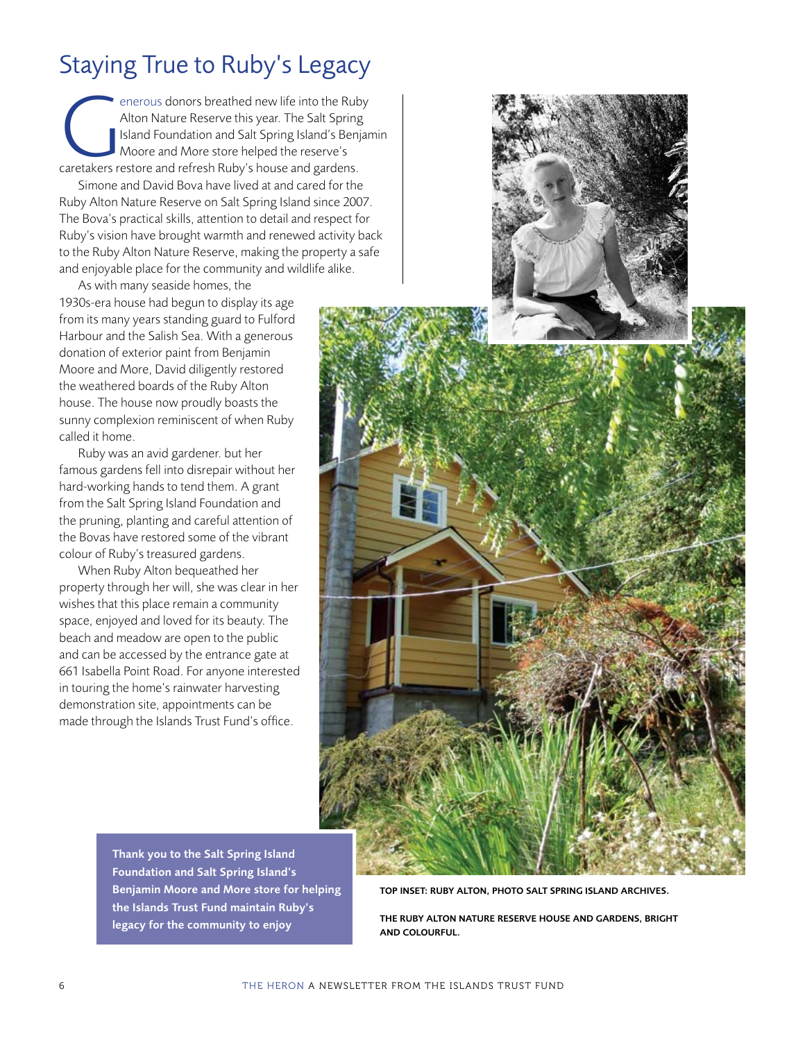# Staying True to Ruby's Legacy

enerous donors breathed new life into the Ruby<br>Alton Nature Reserve this year. The Salt Spring<br>Island Foundation and Salt Spring Island's Benjar<br>Moore and More store helped the reserve's<br>caretakers restore and refresh Ruby Alton Nature Reserve this year. The Salt Spring Island Foundation and Salt Spring Island's Benjamin Moore and More store helped the reserve's

Simone and David Bova have lived at and cared for the Ruby Alton Nature Reserve on Salt Spring Island since 2007. The Bova's practical skills, attention to detail and respect for Ruby's vision have brought warmth and renewed activity back to the Ruby Alton Nature Reserve, making the property a safe and enjoyable place for the community and wildlife alike.

As with many seaside homes, the 1930s-era house had begun to display its age from its many years standing guard to Fulford Harbour and the Salish Sea. With a generous donation of exterior paint from Benjamin Moore and More, David diligently restored the weathered boards of the Ruby Alton house. The house now proudly boasts the sunny complexion reminiscent of when Ruby called it home.

Ruby was an avid gardener. but her famous gardens fell into disrepair without her hard-working hands to tend them. A grant from the Salt Spring Island Foundation and the pruning, planting and careful attention of the Bovas have restored some of the vibrant colour of Ruby's treasured gardens.

When Ruby Alton bequeathed her property through her will, she was clear in her wishes that this place remain a community space, enjoyed and loved for its beauty. The beach and meadow are open to the public and can be accessed by the entrance gate at 661 Isabella Point Road. For anyone interested in touring the home's rainwater harvesting demonstration site, appointments can be made through the Islands Trust Fund's office.



Thank you to the Salt Spring Island Foundation and Salt Spring Island's Benjamin Moore and More store for helping the Islands Trust Fund maintain Ruby's legacy for the community to enjoy

TOP INSET: Ruby Alton, photo Salt Spring Island Archives.

The Ruby Alton Nature Reserve house and gardens, bright and colourful.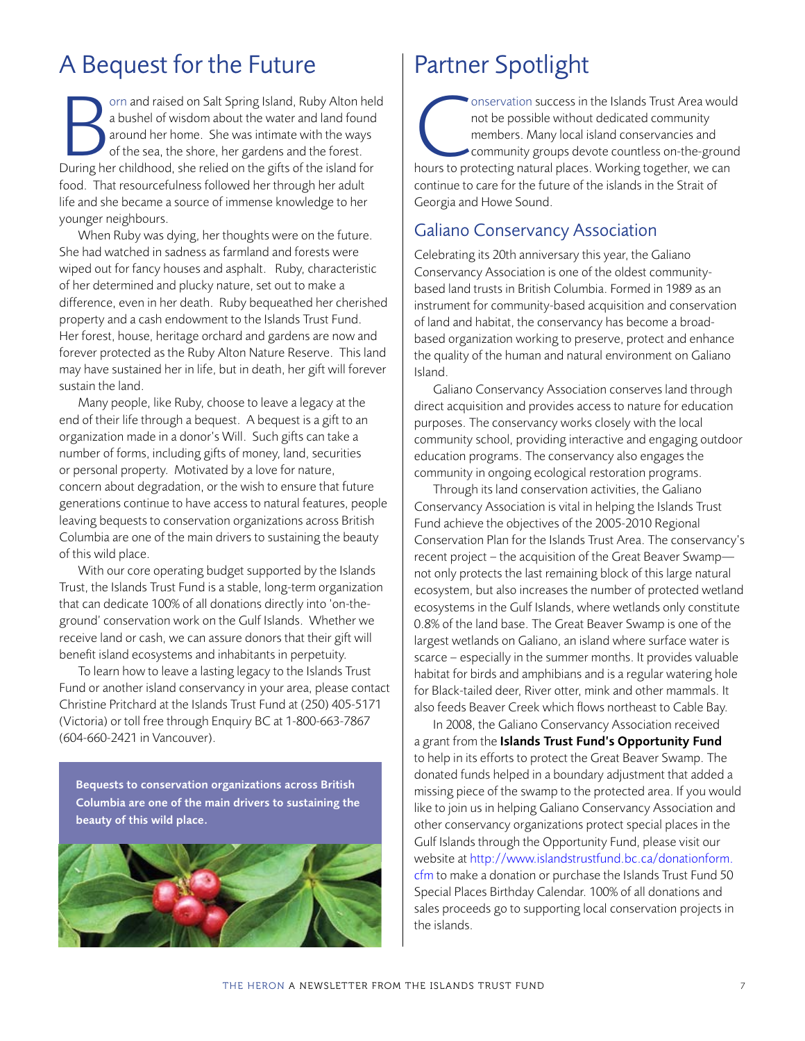## A Bequest for the Future

Implementation Salt Spring Island, Ruby Alton hel<br>
a bushel of wisdom about the water and land found<br>
around her home. She was intimate with the ways<br>
of the sea, the shore, her gardens and the forest.<br>
During her childhoo orn and raised on Salt Spring Island, Ruby Alton held a bushel of wisdom about the water and land found around her home. She was intimate with the ways of the sea, the shore, her gardens and the forest. food. That resourcefulness followed her through her adult life and she became a source of immense knowledge to her younger neighbours.

When Ruby was dying, her thoughts were on the future. She had watched in sadness as farmland and forests were wiped out for fancy houses and asphalt. Ruby, characteristic of her determined and plucky nature, set out to make a difference, even in her death. Ruby bequeathed her cherished property and a cash endowment to the Islands Trust Fund. Her forest, house, heritage orchard and gardens are now and forever protected as the Ruby Alton Nature Reserve. This land may have sustained her in life, but in death, her gift will forever sustain the land.

Many people, like Ruby, choose to leave a legacy at the end of their life through a bequest. A bequest is a gift to an organization made in a donor's Will. Such gifts can take a number of forms, including gifts of money, land, securities or personal property. Motivated by a love for nature, concern about degradation, or the wish to ensure that future generations continue to have access to natural features, people leaving bequests to conservation organizations across British Columbia are one of the main drivers to sustaining the beauty of this wild place.

With our core operating budget supported by the Islands Trust, the Islands Trust Fund is a stable, long-term organization that can dedicate 100% of all donations directly into 'on-theground' conservation work on the Gulf Islands. Whether we receive land or cash, we can assure donors that their gift will benefit island ecosystems and inhabitants in perpetuity.

To learn how to leave a lasting legacy to the Islands Trust Fund or another island conservancy in your area, please contact Christine Pritchard at the Islands Trust Fund at (250) 405-5171 (Victoria) or toll free through Enquiry BC at 1-800-663-7867 (604-660-2421 in Vancouver).

Bequests to conservation organizations across British Columbia are one of the main drivers to sustaining the beauty of this wild place.



# Partner Spotlight

onservation success in the Islands Trust Area would<br>
not be possible without dedicated community<br>
members. Many local island conservancies and<br>
community groups devote countless on-the-ground<br>
hours to protecting natural p not be possible without dedicated community members. Many local island conservancies and community groups devote countless on-the-ground continue to care for the future of the islands in the Strait of Georgia and Howe Sound.

### Galiano Conservancy Association

Celebrating its 20th anniversary this year, the Galiano Conservancy Association is one of the oldest communitybased land trusts in British Columbia. Formed in 1989 as an instrument for community-based acquisition and conservation of land and habitat, the conservancy has become a broadbased organization working to preserve, protect and enhance the quality of the human and natural environment on Galiano Island.

Galiano Conservancy Association conserves land through direct acquisition and provides access to nature for education purposes. The conservancy works closely with the local community school, providing interactive and engaging outdoor education programs. The conservancy also engages the community in ongoing ecological restoration programs.

Through its land conservation activities, the Galiano Conservancy Association is vital in helping the Islands Trust Fund achieve the objectives of the 2005-2010 Regional Conservation Plan for the Islands Trust Area. The conservancy's recent project – the acquisition of the Great Beaver Swamp not only protects the last remaining block of this large natural ecosystem, but also increases the number of protected wetland ecosystems in the Gulf Islands, where wetlands only constitute 0.8% of the land base. The Great Beaver Swamp is one of the largest wetlands on Galiano, an island where surface water is scarce – especially in the summer months. It provides valuable habitat for birds and amphibians and is a regular watering hole for Black-tailed deer, River otter, mink and other mammals. It also feeds Beaver Creek which flows northeast to Cable Bay.

In 2008, the Galiano Conservancy Association received a grant from the Islands Trust Fund's Opportunity Fund to help in its efforts to protect the Great Beaver Swamp. The donated funds helped in a boundary adjustment that added a missing piece of the swamp to the protected area. If you would like to join us in helping Galiano Conservancy Association and other conservancy organizations protect special places in the Gulf Islands through the Opportunity Fund, please visit our website at [http://www.islandstrustfund.bc.ca/donationform.](http://www.islandstrustfund.bc.ca/donationform.cfm) [cfm](http://www.islandstrustfund.bc.ca/donationform.cfm) [to make a donation or purchase the Islands Trust Fund 50](http://www.islandstrustfund.bc.ca/donate/give-now.aspx)  Special Places Birthday Calendar. 100% of all donations and sales proceeds go to supporting local conservation projects in the islands.